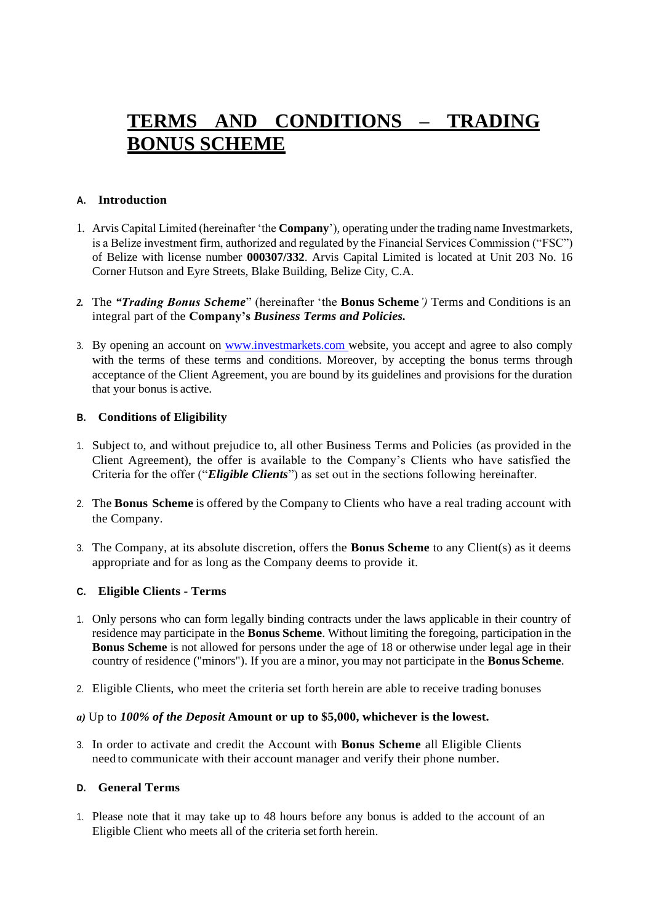# **TERMS AND CONDITIONS – TRADING BONUS SCHEME**

### **A. Introduction**

- 1. Arvis Capital Limited (hereinafter 'the **Company**'), operating under the trading name Investmarkets, is a Belize investment firm, authorized and regulated by the Financial Services Commission ("FSC") of Belize with license number **000307/332**. Arvis Capital Limited is located at Unit 203 No. 16 Corner Hutson and Eyre Streets, Blake Building, Belize City, C.A.
- *2.* The *"Trading Bonus Scheme*" (hereinafter 'the **Bonus Scheme***')* Terms and Conditions is an integral part of the **Company's** *Business Terms and Policies.*
- 3. By opening an account on [www.investmarkets.com](https://www.investmarkets.com/) website, you accept and agree to also comply with the terms of these terms and conditions. Moreover, by accepting the bonus terms through acceptance of the Client Agreement, you are bound by its guidelines and provisions for the duration that your bonus is active.

### **B. Conditions of Eligibility**

- 1. Subject to, and without prejudice to, all other Business Terms and Policies (as provided in the Client Agreement), the offer is available to the Company's Clients who have satisfied the Criteria for the offer ("*Eligible Clients*") as set out in the sections following hereinafter.
- 2. The **Bonus Scheme** is offered by the Company to Clients who have a real trading account with the Company.
- 3. The Company, at its absolute discretion, offers the **Bonus Scheme** to any Client(s) as it deems appropriate and for as long as the Company deems to provide it.

#### **C. Eligible Clients - Terms**

- 1. Only persons who can form legally binding contracts under the laws applicable in their country of residence may participate in the **Bonus Scheme**. Without limiting the foregoing, participation in the **Bonus Scheme** is not allowed for persons under the age of 18 or otherwise under legal age in their country of residence ("minors"). If you are a minor, you may not participate in the **Bonus Scheme**.
- 2. Eligible Clients, who meet the criteria set forth herein are able to receive trading bonuses
- *a)* Up to *100% of the Deposit* **Amount or up to \$5,000, whichever is the lowest***.*
- 3. In order to activate and credit the Account with **Bonus Scheme** all Eligible Clients need to communicate with their account manager and verify their phone number.

### **D. General Terms**

1. Please note that it may take up to 48 hours before any bonus is added to the account of an Eligible Client who meets all of the criteria setforth herein.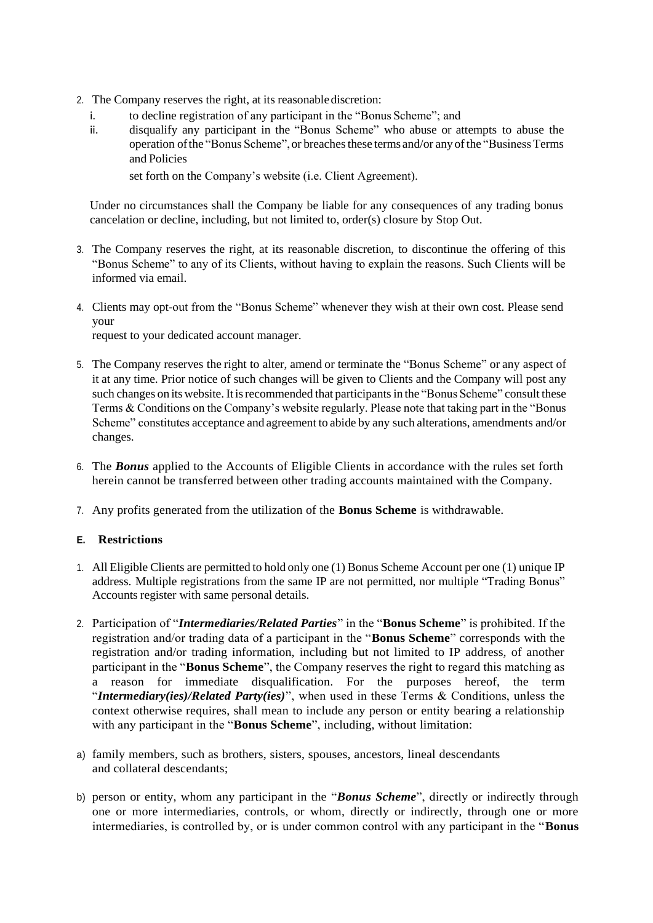- 2. The Company reserves the right, at its reasonable discretion:
	- i. to decline registration of any participant in the "Bonus Scheme"; and
	- ii. disqualify any participant in the "Bonus Scheme" who abuse or attempts to abuse the operation of the "Bonus Scheme", or breaches these terms and/or any of the "Business Terms" and Policies

set forth on the Company's website (i.e. Client Agreement).

Under no circumstances shall the Company be liable for any consequences of any trading bonus cancelation or decline, including, but not limited to, order(s) closure by Stop Out.

- 3. The Company reserves the right, at its reasonable discretion, to discontinue the offering of this "Bonus Scheme" to any of its Clients, without having to explain the reasons. Such Clients will be informed via email.
- 4. Clients may opt-out from the "Bonus Scheme" whenever they wish at their own cost. Please send your

request to your dedicated account manager.

- 5. The Company reserves the right to alter, amend or terminate the "Bonus Scheme" or any aspect of it at any time. Prior notice of such changes will be given to Clients and the Company will post any such changes on its website. It is recommended that participants in the "Bonus Scheme" consult these Terms & Conditions on the Company's website regularly. Please note that taking part in the "Bonus Scheme" constitutes acceptance and agreement to abide by any such alterations, amendments and/or changes.
- 6. The *Bonus* applied to the Accounts of Eligible Clients in accordance with the rules set forth herein cannot be transferred between other trading accounts maintained with the Company.
- 7. Any profits generated from the utilization of the **Bonus Scheme** is withdrawable.

# **E. Restrictions**

- 1. All Eligible Clients are permitted to hold only one (1) Bonus Scheme Account per one (1) unique IP address. Multiple registrations from the same IP are not permitted, nor multiple "Trading Bonus" Accounts register with same personal details.
- 2. Participation of "*Intermediaries/Related Parties*" in the "**Bonus Scheme**" is prohibited. If the registration and/or trading data of a participant in the "**Bonus Scheme**" corresponds with the registration and/or trading information, including but not limited to IP address, of another participant in the "**Bonus Scheme**", the Company reserves the right to regard this matching as a reason for immediate disqualification. For the purposes hereof, the term "*Intermediary(ies)/Related Party(ies)*", when used in these Terms & Conditions, unless the context otherwise requires, shall mean to include any person or entity bearing a relationship with any participant in the "**Bonus Scheme**", including, without limitation:
- a) family members, such as brothers, sisters, spouses, ancestors, lineal descendants and collateral descendants;
- b) person or entity, whom any participant in the "*Bonus Scheme*", directly or indirectly through one or more intermediaries, controls, or whom, directly or indirectly, through one or more intermediaries, is controlled by, or is under common control with any participant in the "**Bonus**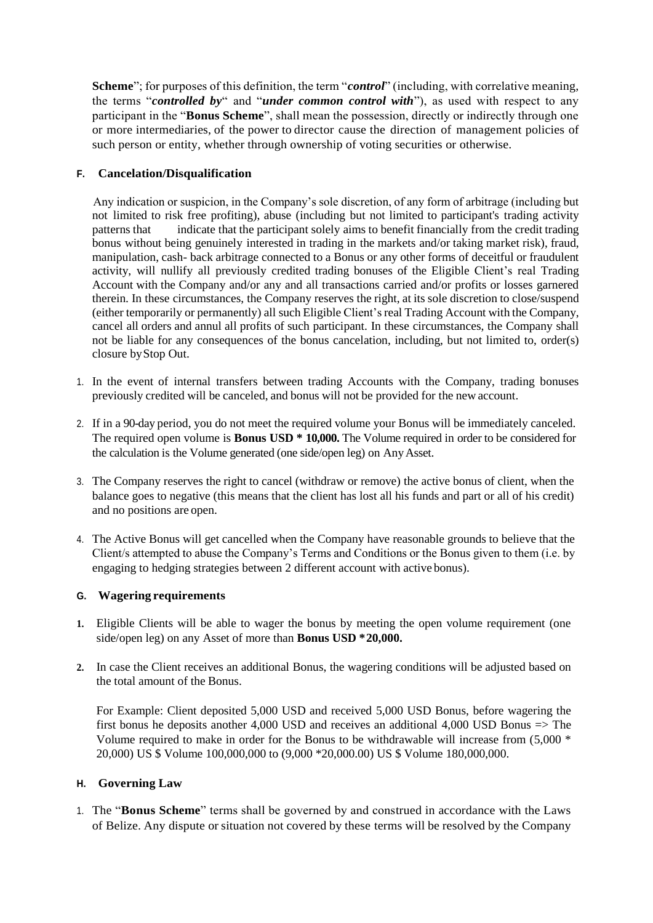**Scheme**"; for purposes of this definition, the term "*control*" (including, with correlative meaning, the terms "*controlled by*" and "*under common control with*"), as used with respect to any participant in the "**Bonus Scheme**", shall mean the possession, directly or indirectly through one or more intermediaries, of the power to director cause the direction of management policies of such person or entity, whether through ownership of voting securities or otherwise.

# **F. Cancelation/Disqualification**

Any indication or suspicion, in the Company's sole discretion, of any form of arbitrage (including but not limited to risk free profiting), abuse (including but not limited to participant's trading activity patterns that indicate that the participant solely aims to benefit financially from the credit trading bonus without being genuinely interested in trading in the markets and/or taking market risk), fraud, manipulation, cash- back arbitrage connected to a Bonus or any other forms of deceitful or fraudulent activity, will nullify all previously credited trading bonuses of the Eligible Client's real Trading Account with the Company and/or any and all transactions carried and/or profits or losses garnered therein. In these circumstances, the Company reserves the right, at its sole discretion to close/suspend (either temporarily or permanently) all such Eligible Client'sreal Trading Account with the Company, cancel all orders and annul all profits of such participant. In these circumstances, the Company shall not be liable for any consequences of the bonus cancelation, including, but not limited to, order(s) closure byStop Out.

- 1. In the event of internal transfers between trading Accounts with the Company, trading bonuses previously credited will be canceled, and bonus will not be provided for the new account.
- 2. If in a 90-day period, you do not meet the required volume your Bonus will be immediately canceled. The required open volume is **Bonus USD \* 10,000.** The Volume required in order to be considered for the calculation is the Volume generated (one side/open leg) on AnyAsset.
- 3. The Company reserves the right to cancel (withdraw or remove) the active bonus of client, when the balance goes to negative (this means that the client has lost all his funds and part or all of his credit) and no positions are open.
- 4. The Active Bonus will get cancelled when the Company have reasonable grounds to believe that the Client/s attempted to abuse the Company's Terms and Conditions or the Bonus given to them (i.e. by engaging to hedging strategies between 2 different account with active bonus).

# **G. Wagering requirements**

- **1.** Eligible Clients will be able to wager the bonus by meeting the open volume requirement (one side/open leg) on any Asset of more than **Bonus USD \*20,000.**
- **2.** In case the Client receives an additional Bonus, the wagering conditions will be adjusted based on the total amount of the Bonus.

For Example: Client deposited 5,000 USD and received 5,000 USD Bonus, before wagering the first bonus he deposits another 4,000 USD and receives an additional 4,000 USD Bonus => The Volume required to make in order for the Bonus to be withdrawable will increase from (5,000 \* 20,000) US \$ Volume 100,000,000 to (9,000 \*20,000.00) US \$ Volume 180,000,000.

# **H. Governing Law**

1. The "**Bonus Scheme**" terms shall be governed by and construed in accordance with the Laws of Belize. Any dispute or situation not covered by these terms will be resolved by the Company